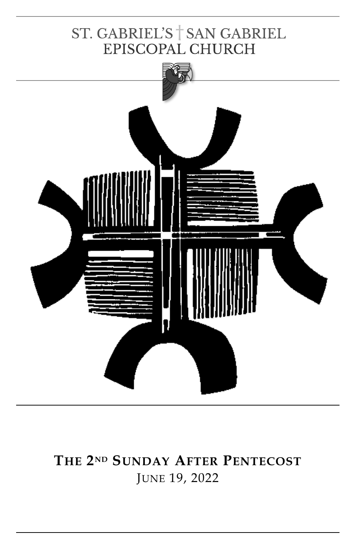# ST. GABRIEL'S | SAN GABRIEL EPISCOPAL CHURCH



# **THE 2ND SUNDAY AFTER PENTECOST** JUNE 19, 2022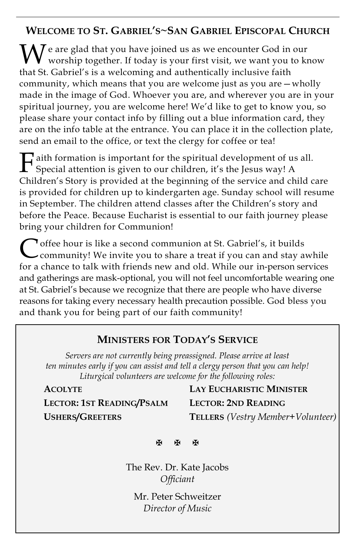## **WELCOME TO ST. GABRIEL'S~SAN GABRIEL EPISCOPAL CHURCH**

We are glad that you have joined us as we encounter God in our worship together. If today is your first visit, we want you to know that St. Gabriel's is a welcoming and authentically inclusive faith community, which means that you are welcome just as you are—wholly made in the image of God. Whoever you are, and wherever you are in your spiritual journey, you are welcome here! We'd like to get to know you, so please share your contact info by filling out a blue information card, they are on the info table at the entrance. You can place it in the collection plate, send an email to the office, or text the clergy for coffee or tea!

F aith formation is important for the spiritual development of us all.<br>Special attention is given to our children, it's the Jesus way! A Special attention is given to our children, it's the Jesus way! A Children's Story is provided at the beginning of the service and child care is provided for children up to kindergarten age. Sunday school will resume in September. The children attend classes after the Children's story and before the Peace. Because Eucharist is essential to our faith journey please bring your children for Communion!

C offee hour is like a second communion at St. Gabriel's, it builds community! We invite you to share a treat if you can and stay awhile for a chance to talk with friends new and old. While our in-person services and gatherings are mask-optional, you will not feel uncomfortable wearing one at St. Gabriel's because we recognize that there are people who have diverse reasons for taking every necessary health precaution possible. God bless you and thank you for being part of our faith community!

### **MINISTERS FOR TODAY'S SERVICE**

*Servers are not currently being preassigned. Please arrive at least ten minutes early if you can assist and tell a clergy person that you can help! Liturgical volunteers are welcome for the following roles:*

**LECTOR: 1ST READING/PSALM LECTOR: 2ND READING**

#### **ACOLYTE LAY EUCHARISTIC MINISTER**

**USHERS/GREETERS TELLERS** *(Vestry Member+Volunteer)*

**A A A** 

The Rev. Dr. Kate Jacobs *Officiant*

Mr. Peter Schweitzer *Director of Music*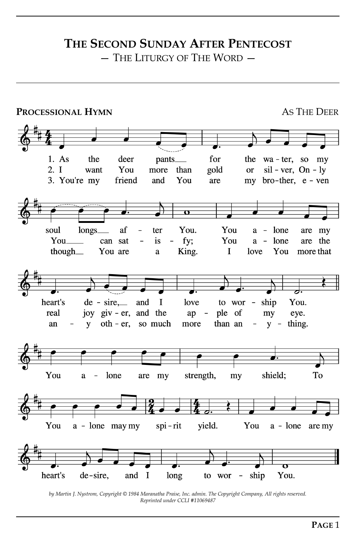## **THE SECOND SUNDAY AFTER PENTECOST** — THE LITURGY OF THE WORD —



*by Martin J. Nystrom, Copyright © 1984 Maranatha Praise, Inc. admin. The Copyright Company, All rights reserved. Reprinted under CCLI #11069487*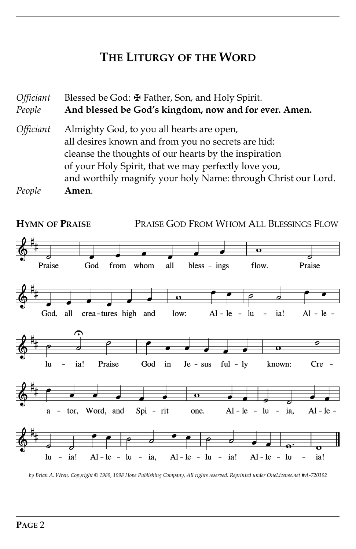## **THE LITURGY OF THE WORD**

*Officiant* Blessed be God: ✠ Father, Son, and Holy Spirit. *People* **And blessed be God's kingdom, now and for ever. Amen.** *Officiant* Almighty God, to you all hearts are open, all desires known and from you no secrets are hid: cleanse the thoughts of our hearts by the inspiration of your Holy Spirit, that we may perfectly love you, and worthily magnify your holy Name: through Christ our Lord. *People* **Amen**.



*by Brian A. Wren, Copyright © 1989, 1998 Hope Publishing Company, All rights reserved. Reprinted under OneLicense.net #A-720192*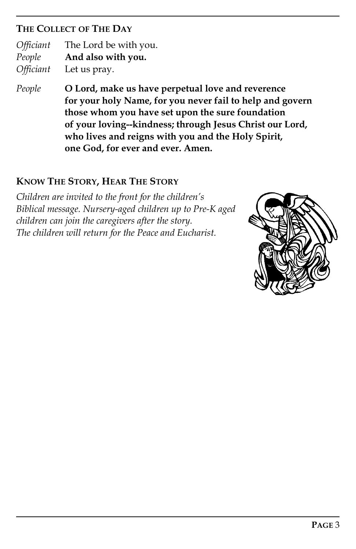#### **THE COLLECT OF THE DAY**

| <i><b>Officiant</b></i> | The Lord be with you. |
|-------------------------|-----------------------|
| People                  | And also with you.    |
| <i><b>Officiant</b></i> | Let us pray.          |

*People* **O Lord, make us have perpetual love and reverence for your holy Name, for you never fail to help and govern those whom you have set upon the sure foundation of your loving--kindness; through Jesus Christ our Lord, who lives and reigns with you and the Holy Spirit, one God, for ever and ever. Amen.**

### **KNOW THE STORY, HEAR THE STORY**

*Children are invited to the front for the children's Biblical message. Nursery-aged children up to Pre-K aged children can join the caregivers after the story. The children will return for the Peace and Eucharist.*

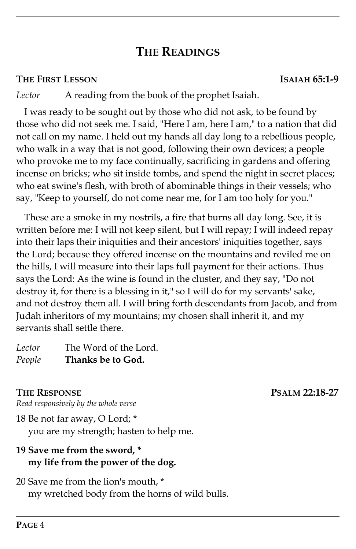## **THE READINGS**

#### **THE FIRST LESSON ISAIAH 65:1-9**

*Lector* A reading from the book of the prophet Isaiah.

I was ready to be sought out by those who did not ask, to be found by those who did not seek me. I said, "Here I am, here I am," to a nation that did not call on my name. I held out my hands all day long to a rebellious people, who walk in a way that is not good, following their own devices; a people who provoke me to my face continually, sacrificing in gardens and offering incense on bricks; who sit inside tombs, and spend the night in secret places; who eat swine's flesh, with broth of abominable things in their vessels; who say, "Keep to yourself, do not come near me, for I am too holy for you."

These are a smoke in my nostrils, a fire that burns all day long. See, it is written before me: I will not keep silent, but I will repay; I will indeed repay into their laps their iniquities and their ancestors' iniquities together, says the Lord; because they offered incense on the mountains and reviled me on the hills, I will measure into their laps full payment for their actions. Thus says the Lord: As the wine is found in the cluster, and they say, "Do not destroy it, for there is a blessing in it," so I will do for my servants' sake, and not destroy them all. I will bring forth descendants from Jacob, and from Judah inheritors of my mountains; my chosen shall inherit it, and my servants shall settle there.

*Lector* The Word of the Lord. *People* **Thanks be to God.**

**THE RESPONSE PSALM 22:18-27**

*Read responsively by the whole verse*

18 Be not far away, O Lord; \* you are my strength; hasten to help me.

#### **19 Save me from the sword, \* my life from the power of the dog.**

20 Save me from the lion's mouth, \* my wretched body from the horns of wild bulls.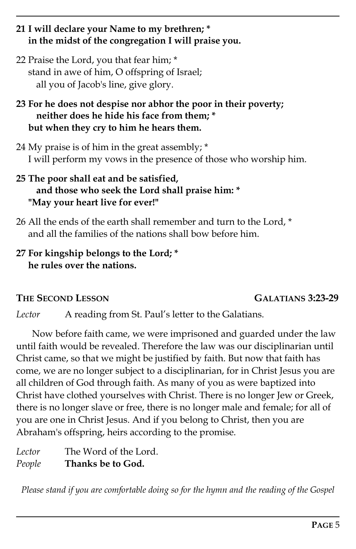### **21 I will declare your Name to my brethren; \* in the midst of the congregation I will praise you.**

- 22 Praise the Lord, you that fear him; \* stand in awe of him, O offspring of Israel; all you of Jacob's line, give glory.
- **23 For he does not despise nor abhor the poor in their poverty; neither does he hide his face from them; \* but when they cry to him he hears them.**
- 24 My praise is of him in the great assembly; \* I will perform my vows in the presence of those who worship him.

#### **25 The poor shall eat and be satisfied, and those who seek the Lord shall praise him: \* "May your heart live for ever!"**

- 26 All the ends of the earth shall remember and turn to the Lord, \* and all the families of the nations shall bow before him.
- **27 For kingship belongs to the Lord; \* he rules over the nations.**

## **THE SECOND LESSON GALATIANS 3:23-29**

*Lector* A reading from St. Paul's letter to the Galatians.

Now before faith came, we were imprisoned and guarded under the law until faith would be revealed. Therefore the law was our disciplinarian until Christ came, so that we might be justified by faith. But now that faith has come, we are no longer subject to a disciplinarian, for in Christ Jesus you are all children of God through faith. As many of you as were baptized into Christ have clothed yourselves with Christ. There is no longer Jew or Greek, there is no longer slave or free, there is no longer male and female; for all of you are one in Christ Jesus. And if you belong to Christ, then you are Abraham's offspring, heirs according to the promise.

*Lector* The Word of the Lord. *People* **Thanks be to God.**

*Please stand if you are comfortable doing so for the hymn and the reading of the Gospel*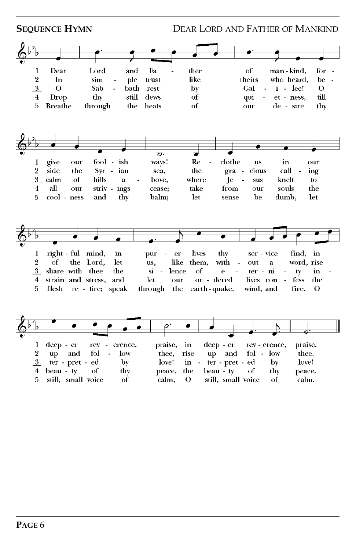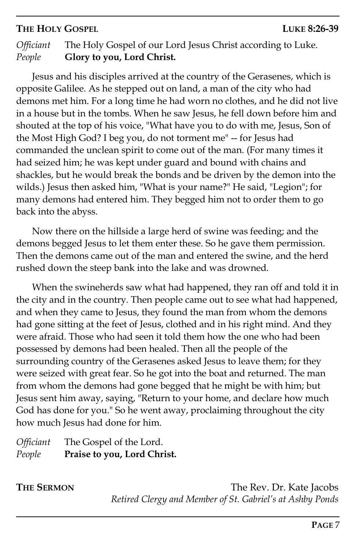#### **THE HOLY GOSPEL LUKE 8:26-39**

## *Officiant* The Holy Gospel of our Lord Jesus Christ according to Luke. *People* **Glory to you, Lord Christ.**

Jesus and his disciples arrived at the country of the Gerasenes, which is opposite Galilee. As he stepped out on land, a man of the city who had demons met him. For a long time he had worn no clothes, and he did not live in a house but in the tombs. When he saw Jesus, he fell down before him and shouted at the top of his voice, "What have you to do with me, Jesus, Son of the Most High God? I beg you, do not torment me" -- for Jesus had commanded the unclean spirit to come out of the man. (For many times it had seized him; he was kept under guard and bound with chains and shackles, but he would break the bonds and be driven by the demon into the wilds.) Jesus then asked him, "What is your name?" He said, "Legion"; for many demons had entered him. They begged him not to order them to go back into the abyss.

Now there on the hillside a large herd of swine was feeding; and the demons begged Jesus to let them enter these. So he gave them permission. Then the demons came out of the man and entered the swine, and the herd rushed down the steep bank into the lake and was drowned.

When the swineherds saw what had happened, they ran off and told it in the city and in the country. Then people came out to see what had happened, and when they came to Jesus, they found the man from whom the demons had gone sitting at the feet of Jesus, clothed and in his right mind. And they were afraid. Those who had seen it told them how the one who had been possessed by demons had been healed. Then all the people of the surrounding country of the Gerasenes asked Jesus to leave them; for they were seized with great fear. So he got into the boat and returned. The man from whom the demons had gone begged that he might be with him; but Jesus sent him away, saying, "Return to your home, and declare how much God has done for you." So he went away, proclaiming throughout the city how much Jesus had done for him.

*Officiant* The Gospel of the Lord. *People* **Praise to you, Lord Christ.**

**THE SERMON** The Rev. Dr. Kate Jacobs *Retired Clergy and Member of St. Gabriel's at Ashby Ponds*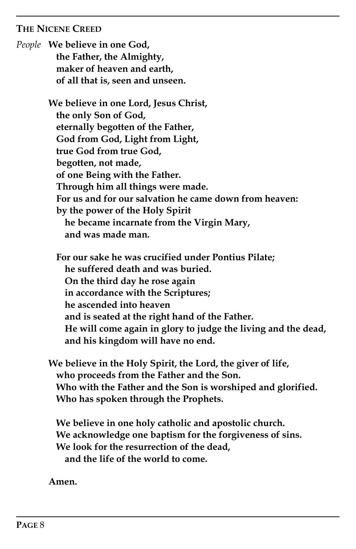#### **THE NICENE CREED**

*People* **We believe in one God, the Father, the Almighty, maker of heaven and earth, of all that is, seen and unseen.**

> **We believe in one Lord, Jesus Christ, the only Son of God, eternally begotten of the Father, God from God, Light from Light, true God from true God, begotten, not made, of one Being with the Father. Through him all things were made. For us and for our salvation he came down from heaven: by the power of the Holy Spirit he became incarnate from the Virgin Mary, and was made man.**

**For our sake he was crucified under Pontius Pilate; he suffered death and was buried. On the third day he rose again in accordance with the Scriptures; he ascended into heaven and is seated at the right hand of the Father. He will come again in glory to judge the living and the dead, and his kingdom will have no end.**

**We believe in the Holy Spirit, the Lord, the giver of life, who proceeds from the Father and the Son. Who with the Father and the Son is worshiped and glorified. Who has spoken through the Prophets.**

**We believe in one holy catholic and apostolic church. We acknowledge one baptism for the forgiveness of sins. We look for the resurrection of the dead, and the life of the world to come.**

**Amen.**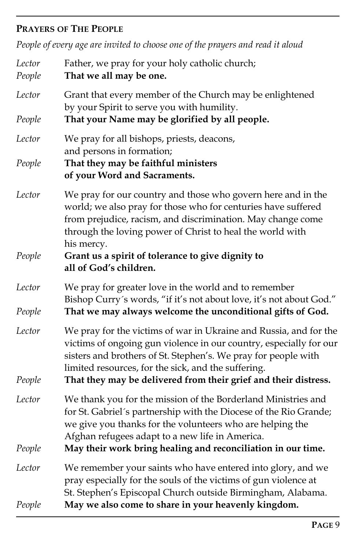## **PRAYERS OF THE PEOPLE**

*People of every age are invited to choose one of the prayers and read it aloud*

| Lector<br>People | Father, we pray for your holy catholic church;<br>That we all may be one.                                                                                                                                                                                                                                                           |
|------------------|-------------------------------------------------------------------------------------------------------------------------------------------------------------------------------------------------------------------------------------------------------------------------------------------------------------------------------------|
| Lector           | Grant that every member of the Church may be enlightened<br>by your Spirit to serve you with humility.                                                                                                                                                                                                                              |
| People           | That your Name may be glorified by all people.                                                                                                                                                                                                                                                                                      |
| Lector           | We pray for all bishops, priests, deacons,<br>and persons in formation;                                                                                                                                                                                                                                                             |
| People           | That they may be faithful ministers<br>of your Word and Sacraments.                                                                                                                                                                                                                                                                 |
| Lector           | We pray for our country and those who govern here and in the<br>world; we also pray for those who for centuries have suffered<br>from prejudice, racism, and discrimination. May change come<br>through the loving power of Christ to heal the world with<br>his mercy.                                                             |
| People           | Grant us a spirit of tolerance to give dignity to<br>all of God's children.                                                                                                                                                                                                                                                         |
| Lector<br>People | We pray for greater love in the world and to remember<br>Bishop Curry's words, "if it's not about love, it's not about God."<br>That we may always welcome the unconditional gifts of God.                                                                                                                                          |
| Lector<br>People | We pray for the victims of war in Ukraine and Russia, and for the<br>victims of ongoing gun violence in our country, especially for our<br>sisters and brothers of St. Stephen's. We pray for people with<br>limited resources, for the sick, and the suffering.<br>That they may be delivered from their grief and their distress. |
| Lector           | We thank you for the mission of the Borderland Ministries and<br>for St. Gabriel's partnership with the Diocese of the Rio Grande;<br>we give you thanks for the volunteers who are helping the<br>Afghan refugees adapt to a new life in America.                                                                                  |
| People           | May their work bring healing and reconciliation in our time.                                                                                                                                                                                                                                                                        |
| Lector           | We remember your saints who have entered into glory, and we<br>pray especially for the souls of the victims of gun violence at<br>St. Stephen's Episcopal Church outside Birmingham, Alabama.                                                                                                                                       |
| People           | May we also come to share in your heavenly kingdom.                                                                                                                                                                                                                                                                                 |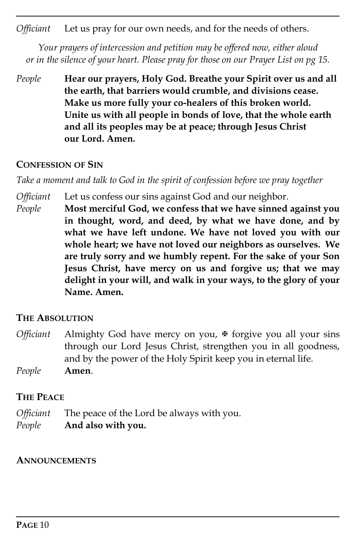*Officiant* Let us pray for our own needs, and for the needs of others.

*Your prayers of intercession and petition may be offered now, either aloud or in the silence of your heart. Please pray for those on our Prayer List on pg 15.*

*People* **Hear our prayers, Holy God. Breathe your Spirit over us and all the earth, that barriers would crumble, and divisions cease. Make us more fully your co-healers of this broken world. Unite us with all people in bonds of love, that the whole earth and all its peoples may be at peace; through Jesus Christ our Lord. Amen.**

#### **CONFESSION OF SIN**

*Take a moment and talk to God in the spirit of confession before we pray together*

*Officiant* Let us confess our sins against God and our neighbor.

*People* **Most merciful God, we confess that we have sinned against you in thought, word, and deed, by what we have done, and by what we have left undone. We have not loved you with our whole heart; we have not loved our neighbors as ourselves. We are truly sorry and we humbly repent. For the sake of your Son Jesus Christ, have mercy on us and forgive us; that we may delight in your will, and walk in your ways, to the glory of your Name. Amen.**

#### **THE ABSOLUTION**

*Officiant* Almighty God have mercy on you, <sup>₩</sup> forgive you all your sins through our Lord Jesus Christ, strengthen you in all goodness, and by the power of the Holy Spirit keep you in eternal life. *People* **Amen**.

#### **THE PEACE**

*Officiant* The peace of the Lord be always with you. *People* **And also with you.**

#### **ANNOUNCEMENTS**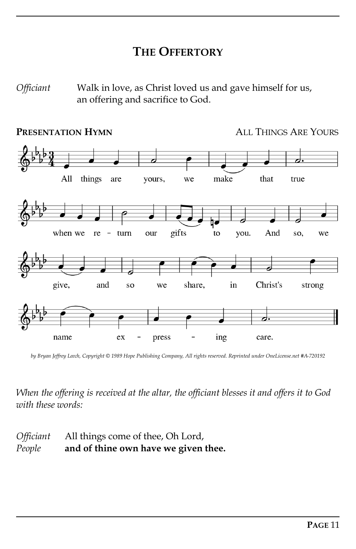## **THE OFFERTORY**

*Officiant* Walk in love, as Christ loved us and gave himself for us, an offering and sacrifice to God.

**PRESENTATION HYMN** ALL THINGS ARE YOURS  $A11$ things we make that are vours. true gifts when we turn our you. And so, re  $\overline{\phantom{a}}$ to we G give, and so we share, in Christ's strong name press ing ex care.

*by Bryan Jeffrey Leech, Copyright © 1989 Hope Publishing Company, All rights reserved. Reprinted under OneLicense.net #A-720192*

*When the offering is received at the altar, the officiant blesses it and offers it to God with these words:*

*Officiant* All things come of thee, Oh Lord, *People* **and of thine own have we given thee.**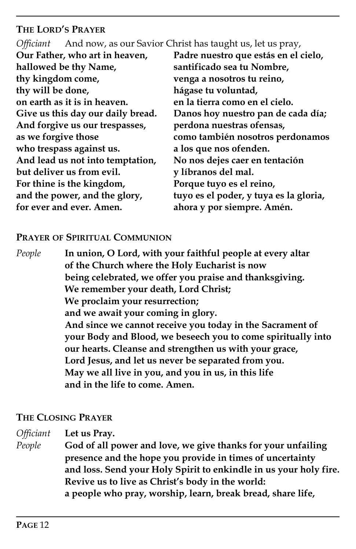#### **THE LORD'S PRAYER**

*Officiant* And now, as our Savior Christ has taught us, let us pray, **Our Father, who art in heaven, Padre nuestro que estás en el cielo, hallowed be thy Name, santificado sea tu Nombre, thy kingdom come, venga a nosotros tu reino, thy will be done, hágase tu voluntad, on earth as it is in heaven. en la tierra como en el cielo. Give us this day our daily bread. Danos hoy nuestro pan de cada día; And forgive us our trespasses, perdona nuestras ofensas, as we forgive those como también nosotros perdonamos who trespass against us. a los que nos ofenden. And lead us not into temptation, No nos dejes caer en tentación but deliver us from evil. y líbranos del mal.** For thine is the kingdom, **Porque tuyo es el reino**, **and the power, and the glory, tuyo es el poder, y tuya es la gloria, for ever and ever. Amen. ahora y por siempre. Amén.**

#### **PRAYER OF SPIRITUAL COMMUNION**

*People* **In union, O Lord, with your faithful people at every altar of the Church where the Holy Eucharist is now being celebrated, we offer you praise and thanksgiving. We remember your death, Lord Christ; We proclaim your resurrection; and we await your coming in glory. And since we cannot receive you today in the Sacrament of your Body and Blood, we beseech you to come spiritually into our hearts. Cleanse and strengthen us with your grace, Lord Jesus, and let us never be separated from you. May we all live in you, and you in us, in this life and in the life to come. Amen.**

#### **THE CLOSING PRAYER**

*Officiant* **Let us Pray.**

*People* **God of all power and love, we give thanks for your unfailing presence and the hope you provide in times of uncertainty and loss. Send your Holy Spirit to enkindle in us your holy fire. Revive us to live as Christ's body in the world: a people who pray, worship, learn, break bread, share life,**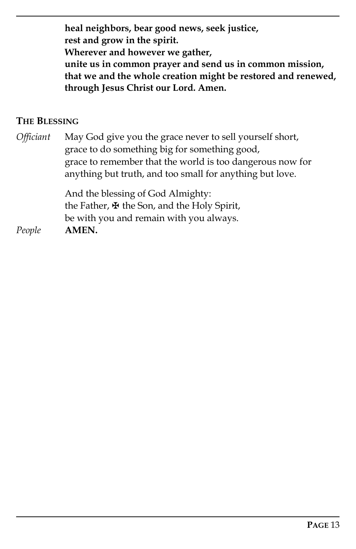**heal neighbors, bear good news, seek justice, rest and grow in the spirit. Wherever and however we gather, unite us in common prayer and send us in common mission, that we and the whole creation might be restored and renewed, through Jesus Christ our Lord. Amen.**

### **THE BLESSING**

| <i><b>Officiant</b></i> | May God give you the grace never to sell yourself short,<br>grace to do something big for something good,<br>grace to remember that the world is too dangerous now for<br>anything but truth, and too small for anything but love. |  |  |
|-------------------------|------------------------------------------------------------------------------------------------------------------------------------------------------------------------------------------------------------------------------------|--|--|
| People                  | And the blessing of God Almighty:<br>the Father, $\mathbf{\Psi}$ the Son, and the Holy Spirit,<br>be with you and remain with you always.<br>AMEN.                                                                                 |  |  |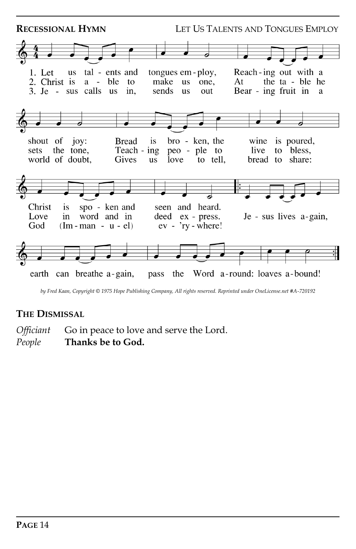

*by Fred Kaan, Copyright © 1975 Hope Publishing Company, All rights reserved. Reprinted under OneLicense.net #A-720192*

#### **THE DISMISSAL**

*Officiant* Go in peace to love and serve the Lord. *People* **Thanks be to God.**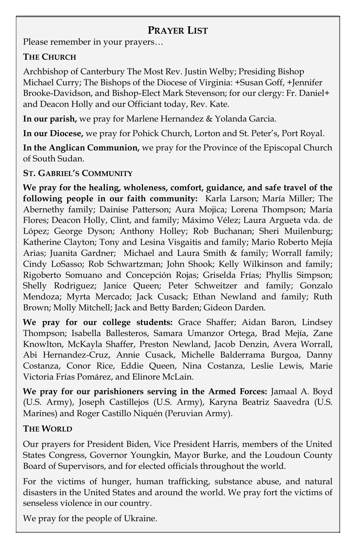## **PRAYER LIST**

Please remember in your prayers…

#### **THE CHURCH**

Archbishop of Canterbury The Most Rev. Justin Welby; Presiding Bishop Michael Curry; The Bishops of the Diocese of Virginia: +Susan Goff, +Jennifer Brooke-Davidson, and Bishop-Elect Mark Stevenson; for our clergy: Fr. Daniel+ and Deacon Holly and our Officiant today, Rev. Kate.

**In our parish,** we pray for Marlene Hernandez & Yolanda Garcia.

**In our Diocese,** we pray for Pohick Church, Lorton and St. Peter's, Port Royal.

**In the Anglican Communion,** we pray for the Province of the Episcopal Church of South Sudan.

#### **ST. GABRIEL'S COMMUNITY**

**We pray for the healing, wholeness, comfort, guidance, and safe travel of the following people in our faith community:** Karla Larson; María Miller; The Abernethy family; Dainise Patterson; Aura Mojica; Lorena Thompson; María Flores; Deacon Holly, Clint, and family; Máximo Vélez; Laura Argueta vda. de López; George Dyson; Anthony Holley; Rob Buchanan; Sheri Muilenburg; Katherine Clayton; Tony and Lesina Visgaitis and family; Mario Roberto Mejía Arias; Juanita Gardner; Michael and Laura Smith & family; Worrall family; Cindy LoSasso; Rob Schwartzman; John Shook; Kelly Wilkinson and family; Rigoberto Somuano and Concepción Rojas; Griselda Frías; Phyllis Simpson; Shelly Rodriguez; Janice Queen; Peter Schweitzer and family; Gonzalo Mendoza; Myrta Mercado; Jack Cusack; Ethan Newland and family; Ruth Brown; Molly Mitchell; Jack and Betty Barden; Gideon Darden.

**We pray for our college students:** Grace Shaffer; Aidan Baron, Lindsey Thompson; Isabella Ballesteros, Samara Umanzor Ortega, Brad Mejía, Zane Knowlton, McKayla Shaffer, Preston Newland, Jacob Denzin, Avera Worrall, Abi Hernandez-Cruz, Annie Cusack, Michelle Balderrama Burgoa, Danny Costanza, Conor Rice, Eddie Queen, Nina Costanza, Leslie Lewis, Marie Victoria Frías Pomárez, and Elinore McLain.

**We pray for our parishioners serving in the Armed Forces:** Jamaal A. Boyd (U.S. Army), Joseph Castillejos (U.S. Army), Karyna Beatriz Saavedra (U.S. Marines) and Roger Castillo Niquén (Peruvian Army).

#### **THE WORLD**

Our prayers for President Biden, Vice President Harris, members of the United States Congress, Governor Youngkin, Mayor Burke, and the Loudoun County Board of Supervisors, and for elected officials throughout the world.

For the victims of hunger, human trafficking, substance abuse, and natural disasters in the United States and around the world. We pray fort the victims of senseless violence in our country.

**PAGE** 15

We pray for the people of Ukraine.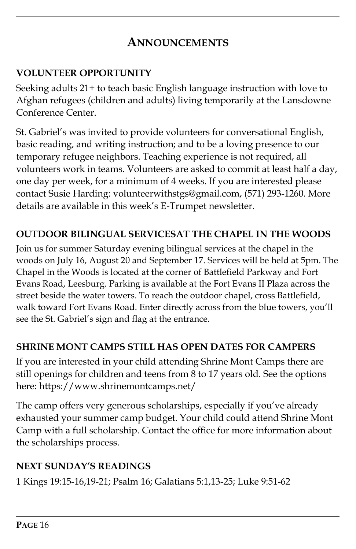## **ANNOUNCEMENTS**

## **VOLUNTEER OPPORTUNITY**

Seeking adults 21+ to teach basic English language instruction with love to Afghan refugees (children and adults) living temporarily at the Lansdowne Conference Center.

St. Gabriel's was invited to provide volunteers for conversational English, basic reading, and writing instruction; and to be a loving presence to our temporary refugee neighbors. Teaching experience is not required, all volunteers work in teams. Volunteers are asked to commit at least half a day, one day per week, for a minimum of 4 weeks. If you are interested please contact Susie Harding: volunteerwithstgs@gmail.com, (571) 293-1260. More details are available in this week's E-Trumpet newsletter.

### **OUTDOOR BILINGUAL SERVICESAT THE CHAPEL IN THE WOODS**

Join us for summer Saturday evening bilingual services at the chapel in the woods on July 16, August 20 and September 17. Services will be held at 5pm. The Chapel in the Woods is located at the corner of Battlefield Parkway and Fort Evans Road, Leesburg. Parking is available at the Fort Evans II Plaza across the street beside the water towers. To reach the outdoor chapel, cross Battlefield, walk toward Fort Evans Road. Enter directly across from the blue towers, you'll see the St. Gabriel's sign and flag at the entrance.

## **SHRINE MONT CAMPS STILL HAS OPEN DATES FOR CAMPERS**

If you are interested in your child attending Shrine Mont Camps there are still openings for children and teens from 8 to 17 years old. See the options here: https://www.shrinemontcamps.net/

The camp offers very generous scholarships, especially if you've already exhausted your summer camp budget. Your child could attend Shrine Mont Camp with a full scholarship. Contact the office for more information about the scholarships process.

### **NEXT SUNDAY'S READINGS**

1 Kings 19:15-16,19-21; Psalm 16; Galatians 5:1,13-25; Luke 9:51-62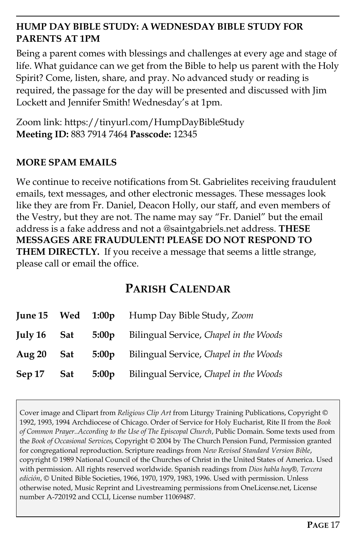## **HUMP DAY BIBLE STUDY: A WEDNESDAY BIBLE STUDY FOR PARENTS AT 1PM**

Being a parent comes with blessings and challenges at every age and stage of life. What guidance can we get from the Bible to help us parent with the Holy Spirit? Come, listen, share, and pray. No advanced study or reading is required, the passage for the day will be presented and discussed with Jim Lockett and Jennifer Smith! Wednesday's at 1pm.

Zoom link: https://tinyurl.com/HumpDayBibleStudy **Meeting ID:** 883 7914 7464 **Passcode:** 12345

#### **MORE SPAM EMAILS**

We continue to receive notifications from St. Gabrielites receiving fraudulent emails, text messages, and other electronic messages. These messages look like they are from Fr. Daniel, Deacon Holly, our staff, and even members of the Vestry, but they are not. The name may say "Fr. Daniel" but the email address is a fake address and not a @saintgabriels.net address. **THESE MESSAGES ARE FRAUDULENT! PLEASE DO NOT RESPOND TO THEM DIRECTLY.** If you receive a message that seems a little strange, please call or email the office.

## **PARISH CALENDAR**

|            |  | <b>June 15</b> Wed 1:00p Hump Day Bible Study, Zoom             |
|------------|--|-----------------------------------------------------------------|
|            |  | <b>July 16</b> Sat 5:00p Bilingual Service, Chapel in the Woods |
| Aug 20 Sat |  | <b>5:00p</b> Bilingual Service, Chapel in the Woods             |
| Sep 17 Sat |  | <b>5:00p</b> Bilingual Service, Chapel in the Woods             |

Cover image and Clipart from *Religious Clip Art* from Liturgy Training Publications, Copyright © 1992, 1993, 1994 Archdiocese of Chicago. Order of Service for Holy Eucharist, Rite II from the *Book of Common Prayer..According to the Use of The Episcopal Church*, Public Domain. Some texts used from the *Book of Occasional Services*, Copyright © 2004 by The Church Pension Fund, Permission granted for congregational reproduction. Scripture readings from *New Revised Standard Version Bible*, copyright © 1989 National Council of the Churches of Christ in the United States of America. Used with permission. All rights reserved worldwide. Spanish readings from *Dios habla hoy®, Tercera edición*, © United Bible Societies, 1966, 1970, 1979, 1983, 1996. Used with permission. Unless otherwise noted, Music Reprint and Livestreaming permissions from OneLicense.net, License number A-720192 and CCLI, License number 11069487.